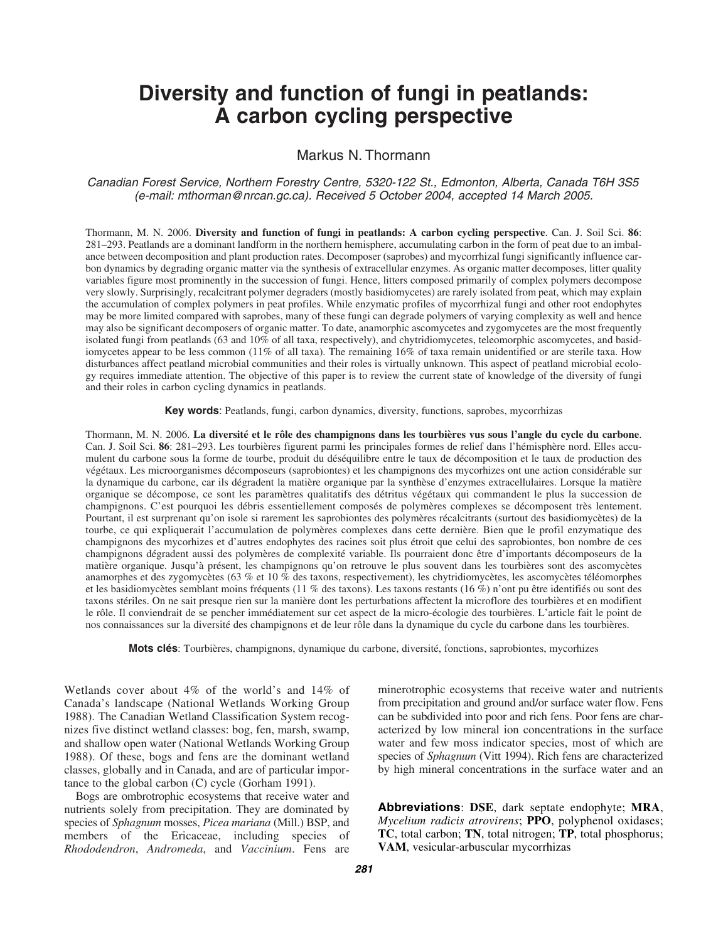# **Diversity and function of fungi in peatlands: A carbon cycling perspective**

## Markus N. Thormann

*Canadian Forest Service, Northern Forestry Centre, 5320-122 St., Edmonton, Alberta, Canada T6H 3S5 (e-mail: mthorman@nrcan.gc.ca). Received 5 October 2004, accepted 14 March 2005.*

Thormann, M. N. 2006. **Diversity and function of fungi in peatlands: A carbon cycling perspective**. Can. J. Soil Sci. **86**: 281–293. Peatlands are a dominant landform in the northern hemisphere, accumulating carbon in the form of peat due to an imbalance between decomposition and plant production rates. Decomposer (saprobes) and mycorrhizal fungi significantly influence carbon dynamics by degrading organic matter via the synthesis of extracellular enzymes. As organic matter decomposes, litter quality variables figure most prominently in the succession of fungi. Hence, litters composed primarily of complex polymers decompose very slowly. Surprisingly, recalcitrant polymer degraders (mostly basidiomycetes) are rarely isolated from peat, which may explain the accumulation of complex polymers in peat profiles. While enzymatic profiles of mycorrhizal fungi and other root endophytes may be more limited compared with saprobes, many of these fungi can degrade polymers of varying complexity as well and hence may also be significant decomposers of organic matter. To date, anamorphic ascomycetes and zygomycetes are the most frequently isolated fungi from peatlands (63 and 10% of all taxa, respectively), and chytridiomycetes, teleomorphic ascomycetes, and basidiomycetes appear to be less common (11% of all taxa). The remaining 16% of taxa remain unidentified or are sterile taxa. How disturbances affect peatland microbial communities and their roles is virtually unknown. This aspect of peatland microbial ecology requires immediate attention. The objective of this paper is to review the current state of knowledge of the diversity of fungi and their roles in carbon cycling dynamics in peatlands.

**Key words**: Peatlands, fungi, carbon dynamics, diversity, functions, saprobes, mycorrhizas

Thormann, M. N. 2006. **La diversité et le rôle des champignons dans les tourbières vus sous l'angle du cycle du carbone**. Can. J. Soil Sci. **86**: 281–293. Les tourbières figurent parmi les principales formes de relief dans l'hémisphère nord. Elles accumulent du carbone sous la forme de tourbe, produit du déséquilibre entre le taux de décomposition et le taux de production des végétaux. Les microorganismes décomposeurs (saprobiontes) et les champignons des mycorhizes ont une action considérable sur la dynamique du carbone, car ils dégradent la matière organique par la synthèse d'enzymes extracellulaires. Lorsque la matière organique se décompose, ce sont les paramètres qualitatifs des détritus végétaux qui commandent le plus la succession de champignons. C'est pourquoi les débris essentiellement composés de polymères complexes se décomposent très lentement. Pourtant, il est surprenant qu'on isole si rarement les saprobiontes des polymères récalcitrants (surtout des basidiomycètes) de la tourbe, ce qui expliquerait l'accumulation de polymères complexes dans cette dernière. Bien que le profil enzymatique des champignons des mycorhizes et d'autres endophytes des racines soit plus étroit que celui des saprobiontes, bon nombre de ces champignons dégradent aussi des polymères de complexité variable. Ils pourraient donc être d'importants décomposeurs de la matière organique. Jusqu'à présent, les champignons qu'on retrouve le plus souvent dans les tourbières sont des ascomycètes anamorphes et des zygomycètes (63 % et 10 % des taxons, respectivement), les chytridiomycètes, les ascomycètes téléomorphes et les basidiomycètes semblant moins fréquents (11 % des taxons). Les taxons restants (16 %) n'ont pu être identifiés ou sont des taxons stériles. On ne sait presque rien sur la manière dont les perturbations affectent la microflore des tourbières et en modifient le rôle. Il conviendrait de se pencher immédiatement sur cet aspect de la micro-écologie des tourbières. L'article fait le point de nos connaissances sur la diversité des champignons et de leur rôle dans la dynamique du cycle du carbone dans les tourbières.

**Mots clés**: Tourbières, champignons, dynamique du carbone, diversité, fonctions, saprobiontes, mycorhizes

Wetlands cover about 4% of the world's and 14% of Canada's landscape (National Wetlands Working Group 1988). The Canadian Wetland Classification System recognizes five distinct wetland classes: bog, fen, marsh, swamp, and shallow open water (National Wetlands Working Group 1988). Of these, bogs and fens are the dominant wetland classes, globally and in Canada, and are of particular importance to the global carbon (C) cycle (Gorham 1991).

Bogs are ombrotrophic ecosystems that receive water and nutrients solely from precipitation. They are dominated by species of *Sphagnum* mosses, *Picea mariana* (Mill.) BSP, and members of the Ericaceae, including species of *Rhododendron*, *Andromeda*, and *Vaccinium*. Fens are

minerotrophic ecosystems that receive water and nutrients from precipitation and ground and/or surface water flow. Fens can be subdivided into poor and rich fens. Poor fens are characterized by low mineral ion concentrations in the surface water and few moss indicator species, most of which are species of *Sphagnum* (Vitt 1994). Rich fens are characterized by high mineral concentrations in the surface water and an

**Abbreviations**: **DSE**, dark septate endophyte; **MRA**, *Mycelium radicis atrovirens*; **PPO**, polyphenol oxidases; **TC**, total carbon; **TN**, total nitrogen; **TP**, total phosphorus; **VAM**, vesicular-arbuscular mycorrhizas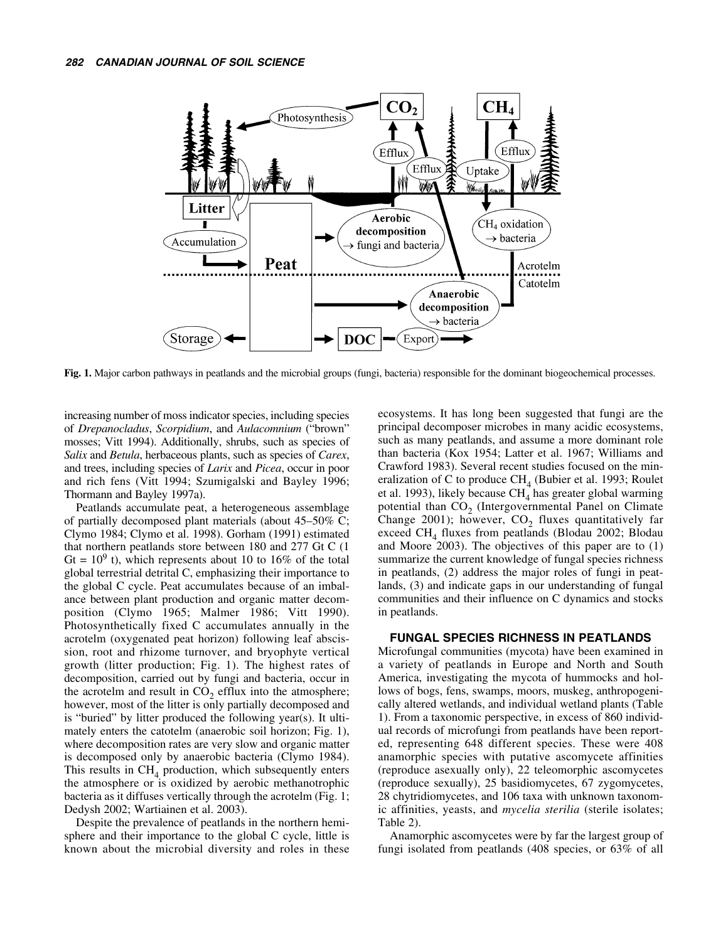

**Fig. 1.** Major carbon pathways in peatlands and the microbial groups (fungi, bacteria) responsible for the dominant biogeochemical processes.

increasing number of moss indicator species, including species of *Drepanocladus*, *Scorpidium*, and *Aulacomnium* ("brown" mosses; Vitt 1994). Additionally, shrubs, such as species of *Salix* and *Betula*, herbaceous plants, such as species of *Carex*, and trees, including species of *Larix* and *Picea*, occur in poor and rich fens (Vitt 1994; Szumigalski and Bayley 1996; Thormann and Bayley 1997a).

Peatlands accumulate peat, a heterogeneous assemblage of partially decomposed plant materials (about 45–50% C; Clymo 1984; Clymo et al. 1998). Gorham (1991) estimated that northern peatlands store between 180 and 277 Gt C (1 Gt =  $10<sup>9</sup>$  t), which represents about 10 to 16% of the total global terrestrial detrital C, emphasizing their importance to the global C cycle. Peat accumulates because of an imbalance between plant production and organic matter decomposition (Clymo 1965; Malmer 1986; Vitt 1990). Photosynthetically fixed C accumulates annually in the acrotelm (oxygenated peat horizon) following leaf abscission, root and rhizome turnover, and bryophyte vertical growth (litter production; Fig. 1). The highest rates of decomposition, carried out by fungi and bacteria, occur in the acrotelm and result in  $CO<sub>2</sub>$  efflux into the atmosphere; however, most of the litter is only partially decomposed and is "buried" by litter produced the following year(s). It ultimately enters the catotelm (anaerobic soil horizon; Fig. 1), where decomposition rates are very slow and organic matter is decomposed only by anaerobic bacteria (Clymo 1984). This results in  $CH<sub>4</sub>$  production, which subsequently enters the atmosphere or is oxidized by aerobic methanotrophic bacteria as it diffuses vertically through the acrotelm (Fig. 1; Dedysh 2002; Wartiainen et al. 2003).

Despite the prevalence of peatlands in the northern hemisphere and their importance to the global C cycle, little is known about the microbial diversity and roles in these

ecosystems. It has long been suggested that fungi are the principal decomposer microbes in many acidic ecosystems, such as many peatlands, and assume a more dominant role than bacteria (Kox 1954; Latter et al. 1967; Williams and Crawford 1983). Several recent studies focused on the mineralization of C to produce  $CH<sub>4</sub>$  (Bubier et al. 1993; Roulet et al. 1993), likely because  $CH<sub>4</sub>$  has greater global warming potential than  $CO<sub>2</sub>$  (Intergovernmental Panel on Climate Change 2001); however,  $CO_2$  fluxes quantitatively far exceed  $CH<sub>4</sub>$  fluxes from peatlands (Blodau 2002; Blodau and Moore 2003). The objectives of this paper are to (1) summarize the current knowledge of fungal species richness in peatlands, (2) address the major roles of fungi in peatlands, (3) and indicate gaps in our understanding of fungal communities and their influence on C dynamics and stocks in peatlands.

#### **FUNGAL SPECIES RICHNESS IN PEATLANDS**

Microfungal communities (mycota) have been examined in a variety of peatlands in Europe and North and South America, investigating the mycota of hummocks and hollows of bogs, fens, swamps, moors, muskeg, anthropogenically altered wetlands, and individual wetland plants (Table 1). From a taxonomic perspective, in excess of 860 individual records of microfungi from peatlands have been reported, representing 648 different species. These were 408 anamorphic species with putative ascomycete affinities (reproduce asexually only), 22 teleomorphic ascomycetes (reproduce sexually), 25 basidiomycetes, 67 zygomycetes, 28 chytridiomycetes, and 106 taxa with unknown taxonomic affinities, yeasts, and *mycelia sterilia* (sterile isolates; Table 2).

Anamorphic ascomycetes were by far the largest group of fungi isolated from peatlands (408 species, or 63% of all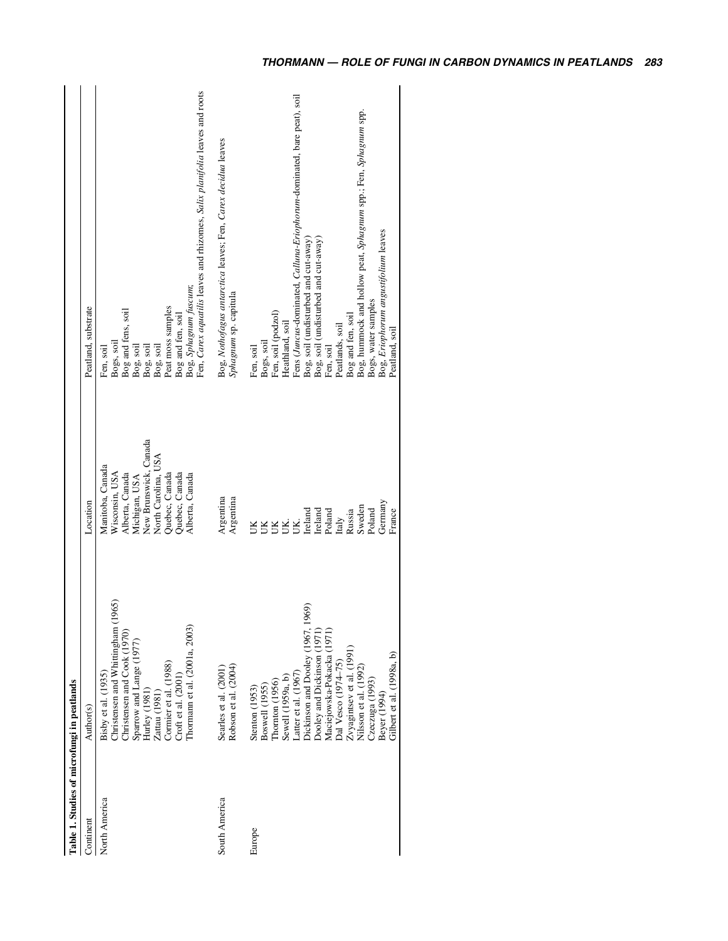| Table 1. Studies of microfungi in peatlands |                                                                                                                                                                                                                                                                                                                                                |                                                                                                                                                                               |                                                                                                                                                                                                                                                                                                                                                                                                                                     |
|---------------------------------------------|------------------------------------------------------------------------------------------------------------------------------------------------------------------------------------------------------------------------------------------------------------------------------------------------------------------------------------------------|-------------------------------------------------------------------------------------------------------------------------------------------------------------------------------|-------------------------------------------------------------------------------------------------------------------------------------------------------------------------------------------------------------------------------------------------------------------------------------------------------------------------------------------------------------------------------------------------------------------------------------|
| Continent                                   | Author(s)                                                                                                                                                                                                                                                                                                                                      | Location                                                                                                                                                                      | Peatland, substrate                                                                                                                                                                                                                                                                                                                                                                                                                 |
| North America                               | Christensen and Whittingham (1965)<br>Phormann et al. (2001a, 2003)<br>Christensen and Cook (1970)<br>Sparrow and Lange (1977)<br>Hurley (1981)<br>Zattau (1981)<br>Cormier et al. (1988)<br>Bisby et al. (1935)<br>Croft et al. (2001)                                                                                                        | New Brunswick, Canada<br>North Carolina, USA<br>Manitoba, Canada<br>Wisconsin, USA<br>Alberta, Canada<br>Quebec, Canada<br>Quebec, Canada<br>Alberta, Canada<br>Michigan, USA | Fen, Carex aquatilis leaves and rhizomes, Salix planifolia leaves and roots<br>Bog, Sphagnum fuscum;<br>Peat moss samples<br>Bog and fens, soil<br>Bog and fen, soil<br>Bogs, soil<br>Bog, soil<br>Bog, soil<br>Bog, soil<br>Fen, soil                                                                                                                                                                                              |
| South America                               | Robson et al. (2004)<br>Searles et al. (2001)                                                                                                                                                                                                                                                                                                  | Argentina<br>Argentina                                                                                                                                                        | Bog, Nothofagus antarctica leaves; Fen, Carex decidua leaves<br>Sphagnum sp. capitula                                                                                                                                                                                                                                                                                                                                               |
| Europe                                      | Dickinson and Dooley (1967, 1969)<br>Maciejowska-Pokacka (1971)<br>Dooley and Dickinson (1971<br>Zvyagintsev et al. (1991)<br>Gilbert et al. (1998a, b)<br>Dal Vesco (1974-75)<br>Nilsson et al. (1992)<br>Latter et al. (1967)<br>Sewell (1959a, b)<br>Czeczuga (1993)<br>Thornton (1956)<br>Boswell (1955)<br>Stenton (1953)<br>Beyer (1994) | Germany<br>Sweden<br>Ireland<br>Ireland<br>Poland<br>Poland<br>France<br>Russia<br>Italy<br>UΚ.<br>UK.<br>ŠК<br>LK<br>ÜК                                                      | Fens (Juncus-dominated, Calluna-Eriophorum-dominated, bare peat), soil<br>Bog, hummock and hollow peat, Sphagnum spp.; Fen, Sphagnum spp.<br>Bog, Eriophorum angustifolium leaves<br>Bog, soil (undisturbed and cut-away)<br>Bog, soil (undisturbed and cut-away)<br>Bogs, water samples<br>Fen, soil (podzol)<br>Bog and fen, soil<br>Heathland, soil<br>Peatlands, soil<br>Peatland, soil<br>Bogs, soil<br>Fen, soil<br>Fen, soil |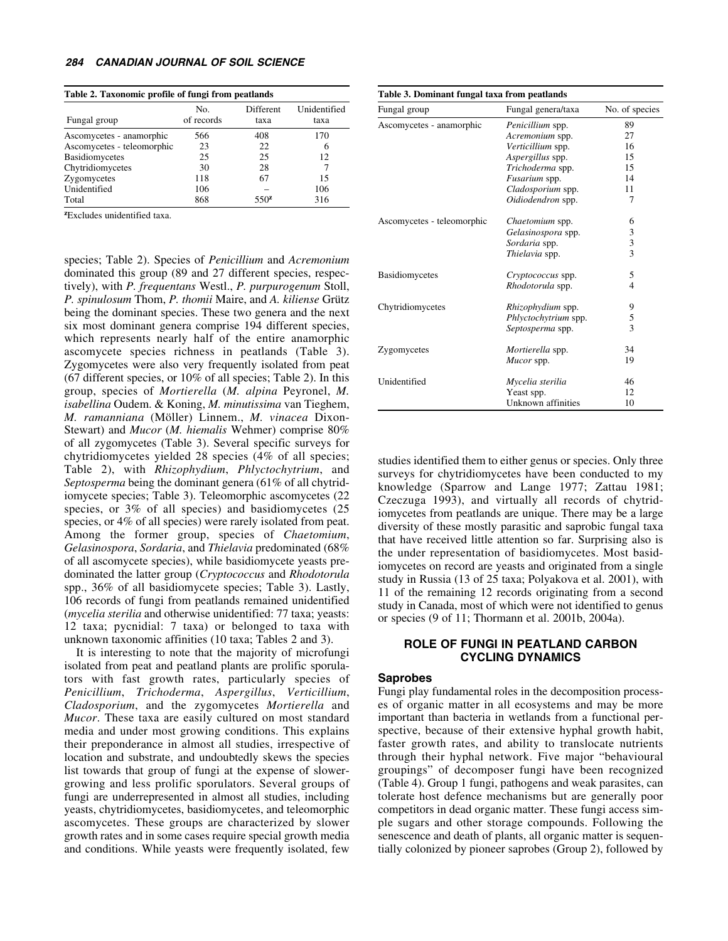**Table 2. Taxonomic profile of fungi from peatlands**

| taxa             | Unidentified<br>taxa |
|------------------|----------------------|
| 408              | 170                  |
| 22               | O                    |
| 25               | 12                   |
| 28               |                      |
| 67               | 15                   |
|                  | 106                  |
| 550 <sup>z</sup> | 316                  |
|                  | <b>Different</b>     |

**<sup>z</sup>**Excludes unidentified taxa.

species; Table 2). Species of *Penicillium* and *Acremonium* dominated this group (89 and 27 different species, respectively), with *P. frequentans* Westl., *P. purpurogenum* Stoll, *P. spinulosum* Thom, *P. thomii* Maire, and *A. kiliense* Grütz being the dominant species. These two genera and the next six most dominant genera comprise 194 different species, which represents nearly half of the entire anamorphic ascomycete species richness in peatlands (Table 3). Zygomycetes were also very frequently isolated from peat (67 different species, or 10% of all species; Table 2). In this group, species of *Mortierella* (*M. alpina* Peyronel, *M. isabellina* Oudem. & Koning, *M. minutissima* van Tieghem, *M. ramanniana* (Möller) Linnem., *M. vinacea* Dixon-Stewart) and *Mucor* (*M. hiemalis* Wehmer) comprise 80% of all zygomycetes (Table 3). Several specific surveys for chytridiomycetes yielded 28 species (4% of all species; Table 2), with *Rhizophydium*, *Phlyctochytrium*, and *Septosperma* being the dominant genera (61% of all chytridiomycete species; Table 3). Teleomorphic ascomycetes (22 species, or 3% of all species) and basidiomycetes (25 species, or 4% of all species) were rarely isolated from peat. Among the former group, species of *Chaetomium*, *Gelasinospora*, *Sordaria*, and *Thielavia* predominated (68% of all ascomycete species), while basidiomycete yeasts predominated the latter group (*Cryptococcus* and *Rhodotorula* spp., 36% of all basidiomycete species; Table 3). Lastly, 106 records of fungi from peatlands remained unidentified (*mycelia sterilia* and otherwise unidentified: 77 taxa; yeasts: 12 taxa; pycnidial: 7 taxa) or belonged to taxa with unknown taxonomic affinities (10 taxa; Tables 2 and 3).

It is interesting to note that the majority of microfungi isolated from peat and peatland plants are prolific sporulators with fast growth rates, particularly species of *Penicillium*, *Trichoderma*, *Aspergillus*, *Verticillium*, *Cladosporium*, and the zygomycetes *Mortierella* and *Mucor*. These taxa are easily cultured on most standard media and under most growing conditions. This explains their preponderance in almost all studies, irrespective of location and substrate, and undoubtedly skews the species list towards that group of fungi at the expense of slowergrowing and less prolific sporulators. Several groups of fungi are underrepresented in almost all studies, including yeasts, chytridiomycetes, basidiomycetes, and teleomorphic ascomycetes. These groups are characterized by slower growth rates and in some cases require special growth media and conditions. While yeasts were frequently isolated, few

| Fungal group               | Fungal genera/taxa   | No. of species |
|----------------------------|----------------------|----------------|
| Ascomycetes - anamorphic   | Penicillium spp.     | 89             |
|                            | Acremonium spp.      | 27             |
|                            | Verticillium spp.    | 16             |
|                            | Aspergillus spp.     | 15             |
|                            | Trichoderma spp.     | 15             |
|                            | Fusarium spp.        | 14             |
|                            | Cladosporium spp.    | 11             |
|                            | Oidiodendron spp.    | 7              |
| Ascomycetes - teleomorphic | Chaetomium spp.      | 6              |
|                            | Gelasinospora spp.   | 3              |
|                            | Sordaria spp.        | $\frac{3}{3}$  |
|                            | Thielavia spp.       |                |
| <b>Basidiomycetes</b>      | Cryptococcus spp.    | 5              |
|                            | Rhodotorula spp.     | $\overline{4}$ |
| Chytridiomycetes           | Rhizophydium spp.    | 9              |
|                            | Phlyctochytrium spp. | 5              |
|                            | Septosperma spp.     | 3              |
| Zygomycetes                | Mortierella spp.     | 34             |
|                            | Mucor spp.           | 19             |
| Unidentified               | Mycelia sterilia     | 46             |
|                            | Yeast spp.           | 12             |
|                            | Unknown affinities   | 10             |

studies identified them to either genus or species. Only three surveys for chytridiomycetes have been conducted to my knowledge (Sparrow and Lange 1977; Zattau 1981; Czeczuga 1993), and virtually all records of chytridiomycetes from peatlands are unique. There may be a large diversity of these mostly parasitic and saprobic fungal taxa that have received little attention so far. Surprising also is the under representation of basidiomycetes. Most basidiomycetes on record are yeasts and originated from a single study in Russia (13 of 25 taxa; Polyakova et al. 2001), with 11 of the remaining 12 records originating from a second study in Canada, most of which were not identified to genus or species (9 of 11; Thormann et al. 2001b, 2004a).

### **ROLE OF FUNGI IN PEATLAND CARBON CYCLING DYNAMICS**

#### **Saprobes**

Fungi play fundamental roles in the decomposition processes of organic matter in all ecosystems and may be more important than bacteria in wetlands from a functional perspective, because of their extensive hyphal growth habit, faster growth rates, and ability to translocate nutrients through their hyphal network. Five major "behavioural groupings" of decomposer fungi have been recognized (Table 4). Group 1 fungi, pathogens and weak parasites, can tolerate host defence mechanisms but are generally poor competitors in dead organic matter. These fungi access simple sugars and other storage compounds. Following the senescence and death of plants, all organic matter is sequentially colonized by pioneer saprobes (Group 2), followed by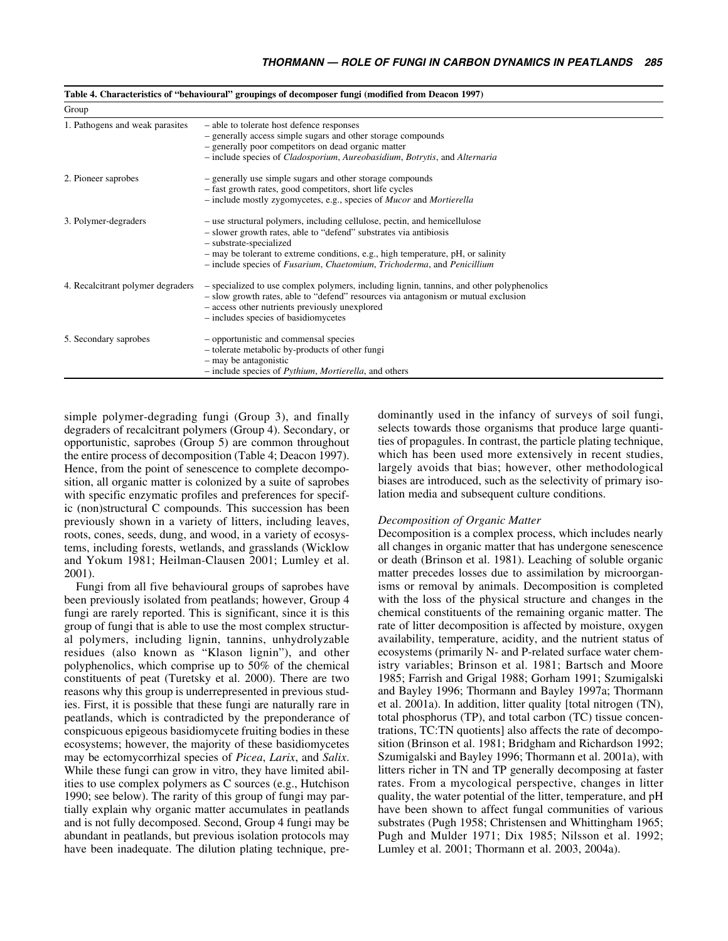| Table 4. Characteristics of "behavioural" groupings of decomposer fungi (modified from Deacon 1997) |                                                                                                                                                                                                                                                                                                                                          |  |
|-----------------------------------------------------------------------------------------------------|------------------------------------------------------------------------------------------------------------------------------------------------------------------------------------------------------------------------------------------------------------------------------------------------------------------------------------------|--|
| Group                                                                                               |                                                                                                                                                                                                                                                                                                                                          |  |
| 1. Pathogens and weak parasites                                                                     | - able to tolerate host defence responses<br>- generally access simple sugars and other storage compounds<br>- generally poor competitors on dead organic matter<br>- include species of <i>Cladosporium, Aureobasidium, Botrytis, and Alternaria</i>                                                                                    |  |
| 2. Pioneer saprobes                                                                                 | - generally use simple sugars and other storage compounds<br>- fast growth rates, good competitors, short life cycles<br>- include mostly zygomycetes, e.g., species of <i>Mucor</i> and <i>Mortierella</i>                                                                                                                              |  |
| 3. Polymer-degraders                                                                                | - use structural polymers, including cellulose, pectin, and hemicellulose<br>- slower growth rates, able to "defend" substrates via antibiosis<br>- substrate-specialized<br>- may be tolerant to extreme conditions, e.g., high temperature, pH, or salinity<br>- include species of Fusarium, Chaetomium, Trichoderma, and Penicillium |  |
| 4. Recalcitrant polymer degraders                                                                   | - specialized to use complex polymers, including lignin, tannins, and other polyphenolics<br>- slow growth rates, able to "defend" resources via antagonism or mutual exclusion<br>- access other nutrients previously unexplored<br>- includes species of basidiomycetes                                                                |  |
| 5. Secondary saprobes                                                                               | - opportunistic and commensal species<br>- tolerate metabolic by-products of other fungi<br>- may be antagonistic<br>- include species of <i>Pythium, Mortierella</i> , and others                                                                                                                                                       |  |

simple polymer-degrading fungi (Group 3), and finally degraders of recalcitrant polymers (Group 4). Secondary, or opportunistic, saprobes (Group 5) are common throughout the entire process of decomposition (Table 4; Deacon 1997). Hence, from the point of senescence to complete decomposition, all organic matter is colonized by a suite of saprobes with specific enzymatic profiles and preferences for specific (non)structural C compounds. This succession has been previously shown in a variety of litters, including leaves, roots, cones, seeds, dung, and wood, in a variety of ecosystems, including forests, wetlands, and grasslands (Wicklow and Yokum 1981; Heilman-Clausen 2001; Lumley et al. 2001).

Fungi from all five behavioural groups of saprobes have been previously isolated from peatlands; however, Group 4 fungi are rarely reported. This is significant, since it is this group of fungi that is able to use the most complex structural polymers, including lignin, tannins, unhydrolyzable residues (also known as "Klason lignin"), and other polyphenolics, which comprise up to 50% of the chemical constituents of peat (Turetsky et al. 2000). There are two reasons why this group is underrepresented in previous studies. First, it is possible that these fungi are naturally rare in peatlands, which is contradicted by the preponderance of conspicuous epigeous basidiomycete fruiting bodies in these ecosystems; however, the majority of these basidiomycetes may be ectomycorrhizal species of *Picea*, *Larix*, and *Salix*. While these fungi can grow in vitro, they have limited abilities to use complex polymers as C sources (e.g., Hutchison 1990; see below). The rarity of this group of fungi may partially explain why organic matter accumulates in peatlands and is not fully decomposed. Second, Group 4 fungi may be abundant in peatlands, but previous isolation protocols may have been inadequate. The dilution plating technique, predominantly used in the infancy of surveys of soil fungi, selects towards those organisms that produce large quantities of propagules. In contrast, the particle plating technique, which has been used more extensively in recent studies, largely avoids that bias; however, other methodological biases are introduced, such as the selectivity of primary isolation media and subsequent culture conditions.

#### *Decomposition of Organic Matter*

Decomposition is a complex process, which includes nearly all changes in organic matter that has undergone senescence or death (Brinson et al. 1981). Leaching of soluble organic matter precedes losses due to assimilation by microorganisms or removal by animals. Decomposition is completed with the loss of the physical structure and changes in the chemical constituents of the remaining organic matter. The rate of litter decomposition is affected by moisture, oxygen availability, temperature, acidity, and the nutrient status of ecosystems (primarily N- and P-related surface water chemistry variables; Brinson et al. 1981; Bartsch and Moore 1985; Farrish and Grigal 1988; Gorham 1991; Szumigalski and Bayley 1996; Thormann and Bayley 1997a; Thormann et al. 2001a). In addition, litter quality [total nitrogen (TN), total phosphorus (TP), and total carbon (TC) tissue concentrations, TC:TN quotients] also affects the rate of decomposition (Brinson et al. 1981; Bridgham and Richardson 1992; Szumigalski and Bayley 1996; Thormann et al. 2001a), with litters richer in TN and TP generally decomposing at faster rates. From a mycological perspective, changes in litter quality, the water potential of the litter, temperature, and pH have been shown to affect fungal communities of various substrates (Pugh 1958; Christensen and Whittingham 1965; Pugh and Mulder 1971; Dix 1985; Nilsson et al. 1992; Lumley et al. 2001; Thormann et al. 2003, 2004a).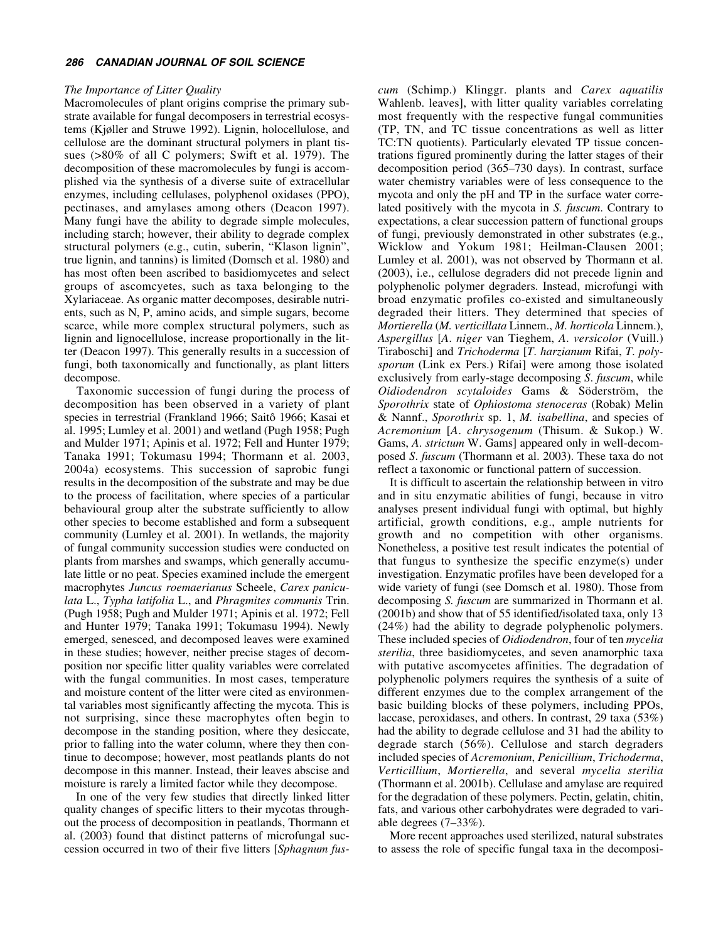#### *286 CANADIAN JOURNAL OF SOIL SCIENCE*

#### *The Importance of Litter Quality*

Macromolecules of plant origins comprise the primary substrate available for fungal decomposers in terrestrial ecosystems (Kjøller and Struwe 1992). Lignin, holocellulose, and cellulose are the dominant structural polymers in plant tissues (>80% of all C polymers; Swift et al. 1979). The decomposition of these macromolecules by fungi is accomplished via the synthesis of a diverse suite of extracellular enzymes, including cellulases, polyphenol oxidases (PPO), pectinases, and amylases among others (Deacon 1997). Many fungi have the ability to degrade simple molecules, including starch; however, their ability to degrade complex structural polymers (e.g., cutin, suberin, "Klason lignin", true lignin, and tannins) is limited (Domsch et al. 1980) and has most often been ascribed to basidiomycetes and select groups of ascomcyetes, such as taxa belonging to the Xylariaceae. As organic matter decomposes, desirable nutrients, such as N, P, amino acids, and simple sugars, become scarce, while more complex structural polymers, such as lignin and lignocellulose, increase proportionally in the litter (Deacon 1997). This generally results in a succession of fungi, both taxonomically and functionally, as plant litters decompose.

Taxonomic succession of fungi during the process of decomposition has been observed in a variety of plant species in terrestrial (Frankland 1966; Saitô 1966; Kasai et al. 1995; Lumley et al. 2001) and wetland (Pugh 1958; Pugh and Mulder 1971; Apinis et al. 1972; Fell and Hunter 1979; Tanaka 1991; Tokumasu 1994; Thormann et al. 2003, 2004a) ecosystems. This succession of saprobic fungi results in the decomposition of the substrate and may be due to the process of facilitation, where species of a particular behavioural group alter the substrate sufficiently to allow other species to become established and form a subsequent community (Lumley et al. 2001). In wetlands, the majority of fungal community succession studies were conducted on plants from marshes and swamps, which generally accumulate little or no peat. Species examined include the emergent macrophytes *Juncus roemaerianus* Scheele, *Carex paniculata* L., *Typha latifolia* L., and *Phragmites communis* Trin. (Pugh 1958; Pugh and Mulder 1971; Apinis et al. 1972; Fell and Hunter 1979; Tanaka 1991; Tokumasu 1994). Newly emerged, senesced, and decomposed leaves were examined in these studies; however, neither precise stages of decomposition nor specific litter quality variables were correlated with the fungal communities. In most cases, temperature and moisture content of the litter were cited as environmental variables most significantly affecting the mycota. This is not surprising, since these macrophytes often begin to decompose in the standing position, where they desiccate, prior to falling into the water column, where they then continue to decompose; however, most peatlands plants do not decompose in this manner. Instead, their leaves abscise and moisture is rarely a limited factor while they decompose.

In one of the very few studies that directly linked litter quality changes of specific litters to their mycotas throughout the process of decomposition in peatlands, Thormann et al. (2003) found that distinct patterns of microfungal succession occurred in two of their five litters [*Sphagnum fus-*

*cum* (Schimp.) Klinggr. plants and *Carex aquatilis* Wahlenb. leaves], with litter quality variables correlating most frequently with the respective fungal communities (TP, TN, and TC tissue concentrations as well as litter TC:TN quotients). Particularly elevated TP tissue concentrations figured prominently during the latter stages of their decomposition period (365–730 days). In contrast, surface water chemistry variables were of less consequence to the mycota and only the pH and TP in the surface water correlated positively with the mycota in *S. fuscum*. Contrary to expectations, a clear succession pattern of functional groups of fungi, previously demonstrated in other substrates (e.g., Wicklow and Yokum 1981; Heilman-Clausen 2001; Lumley et al. 2001), was not observed by Thormann et al. (2003), i.e., cellulose degraders did not precede lignin and polyphenolic polymer degraders. Instead, microfungi with broad enzymatic profiles co-existed and simultaneously degraded their litters. They determined that species of *Mortierella* (*M. verticillata* Linnem., *M. horticola* Linnem.), *Aspergillus* [*A*. *niger* van Tieghem, *A*. *versicolor* (Vuill.) Tiraboschi] and *Trichoderma* [*T*. *harzianum* Rifai, *T*. *polysporum* (Link ex Pers.) Rifai] were among those isolated exclusively from early-stage decomposing *S*. *fuscum*, while *Oidiodendron scytaloides* Gams & Söderström, the *Sporothrix* state of *Ophiostoma stenoceras* (Robak) Melin & Nannf., *Sporothrix* sp. 1, *M. isabellina*, and species of *Acremonium* [*A*. *chrysogenum* (Thisum. & Sukop.) W. Gams, *A*. *strictum* W. Gams] appeared only in well-decomposed *S*. *fuscum* (Thormann et al. 2003). These taxa do not reflect a taxonomic or functional pattern of succession.

It is difficult to ascertain the relationship between in vitro and in situ enzymatic abilities of fungi, because in vitro analyses present individual fungi with optimal, but highly artificial, growth conditions, e.g., ample nutrients for growth and no competition with other organisms. Nonetheless, a positive test result indicates the potential of that fungus to synthesize the specific enzyme(s) under investigation. Enzymatic profiles have been developed for a wide variety of fungi (see Domsch et al. 1980). Those from decomposing *S. fuscum* are summarized in Thormann et al. (2001b) and show that of 55 identified/isolated taxa, only 13 (24%) had the ability to degrade polyphenolic polymers. These included species of *Oidiodendron*, four of ten *mycelia sterilia*, three basidiomycetes, and seven anamorphic taxa with putative ascomycetes affinities. The degradation of polyphenolic polymers requires the synthesis of a suite of different enzymes due to the complex arrangement of the basic building blocks of these polymers, including PPOs, laccase, peroxidases, and others. In contrast, 29 taxa (53%) had the ability to degrade cellulose and 31 had the ability to degrade starch (56%). Cellulose and starch degraders included species of *Acremonium*, *Penicillium*, *Trichoderma*, *Verticillium*, *Mortierella*, and several *mycelia sterilia* (Thormann et al. 2001b). Cellulase and amylase are required for the degradation of these polymers. Pectin, gelatin, chitin, fats, and various other carbohydrates were degraded to variable degrees (7–33%).

More recent approaches used sterilized, natural substrates to assess the role of specific fungal taxa in the decomposi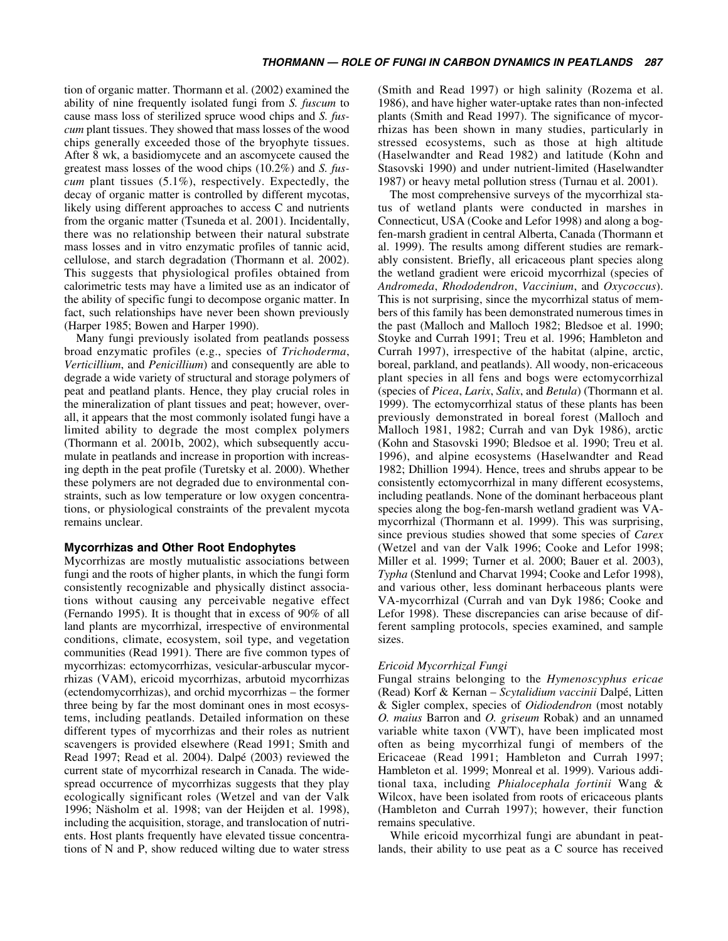tion of organic matter. Thormann et al. (2002) examined the ability of nine frequently isolated fungi from *S. fuscum* to cause mass loss of sterilized spruce wood chips and *S. fuscum* plant tissues. They showed that mass losses of the wood chips generally exceeded those of the bryophyte tissues. After 8 wk, a basidiomycete and an ascomycete caused the greatest mass losses of the wood chips (10.2%) and *S. fuscum* plant tissues (5.1%), respectively. Expectedly, the decay of organic matter is controlled by different mycotas, likely using different approaches to access C and nutrients from the organic matter (Tsuneda et al. 2001). Incidentally, there was no relationship between their natural substrate mass losses and in vitro enzymatic profiles of tannic acid, cellulose, and starch degradation (Thormann et al. 2002). This suggests that physiological profiles obtained from calorimetric tests may have a limited use as an indicator of the ability of specific fungi to decompose organic matter. In fact, such relationships have never been shown previously (Harper 1985; Bowen and Harper 1990).

Many fungi previously isolated from peatlands possess broad enzymatic profiles (e.g., species of *Trichoderma*, *Verticillium*, and *Penicillium*) and consequently are able to degrade a wide variety of structural and storage polymers of peat and peatland plants. Hence, they play crucial roles in the mineralization of plant tissues and peat; however, overall, it appears that the most commonly isolated fungi have a limited ability to degrade the most complex polymers (Thormann et al. 2001b, 2002), which subsequently accumulate in peatlands and increase in proportion with increasing depth in the peat profile (Turetsky et al. 2000). Whether these polymers are not degraded due to environmental constraints, such as low temperature or low oxygen concentrations, or physiological constraints of the prevalent mycota remains unclear.

#### **Mycorrhizas and Other Root Endophytes**

Mycorrhizas are mostly mutualistic associations between fungi and the roots of higher plants, in which the fungi form consistently recognizable and physically distinct associations without causing any perceivable negative effect (Fernando 1995). It is thought that in excess of 90% of all land plants are mycorrhizal, irrespective of environmental conditions, climate, ecosystem, soil type, and vegetation communities (Read 1991). There are five common types of mycorrhizas: ectomycorrhizas, vesicular-arbuscular mycorrhizas (VAM), ericoid mycorrhizas, arbutoid mycorrhizas (ectendomycorrhizas), and orchid mycorrhizas – the former three being by far the most dominant ones in most ecosystems, including peatlands. Detailed information on these different types of mycorrhizas and their roles as nutrient scavengers is provided elsewhere (Read 1991; Smith and Read 1997; Read et al. 2004). Dalpé (2003) reviewed the current state of mycorrhizal research in Canada. The widespread occurrence of mycorrhizas suggests that they play ecologically significant roles (Wetzel and van der Valk 1996; Näsholm et al. 1998; van der Heijden et al. 1998), including the acquisition, storage, and translocation of nutrients. Host plants frequently have elevated tissue concentrations of N and P, show reduced wilting due to water stress

(Smith and Read 1997) or high salinity (Rozema et al. 1986), and have higher water-uptake rates than non-infected plants (Smith and Read 1997). The significance of mycorrhizas has been shown in many studies, particularly in stressed ecosystems, such as those at high altitude (Haselwandter and Read 1982) and latitude (Kohn and Stasovski 1990) and under nutrient-limited (Haselwandter 1987) or heavy metal pollution stress (Turnau et al. 2001).

The most comprehensive surveys of the mycorrhizal status of wetland plants were conducted in marshes in Connecticut, USA (Cooke and Lefor 1998) and along a bogfen-marsh gradient in central Alberta, Canada (Thormann et al. 1999). The results among different studies are remarkably consistent. Briefly, all ericaceous plant species along the wetland gradient were ericoid mycorrhizal (species of *Andromeda*, *Rhododendron*, *Vaccinium*, and *Oxycoccus*). This is not surprising, since the mycorrhizal status of members of this family has been demonstrated numerous times in the past (Malloch and Malloch 1982; Bledsoe et al. 1990; Stoyke and Currah 1991; Treu et al. 1996; Hambleton and Currah 1997), irrespective of the habitat (alpine, arctic, boreal, parkland, and peatlands). All woody, non-ericaceous plant species in all fens and bogs were ectomycorrhizal (species of *Picea*, *Larix*, *Salix*, and *Betula*) (Thormann et al. 1999). The ectomycorrhizal status of these plants has been previously demonstrated in boreal forest (Malloch and Malloch 1981, 1982; Currah and van Dyk 1986), arctic (Kohn and Stasovski 1990; Bledsoe et al. 1990; Treu et al. 1996), and alpine ecosystems (Haselwandter and Read 1982; Dhillion 1994). Hence, trees and shrubs appear to be consistently ectomycorrhizal in many different ecosystems, including peatlands. None of the dominant herbaceous plant species along the bog-fen-marsh wetland gradient was VAmycorrhizal (Thormann et al. 1999). This was surprising, since previous studies showed that some species of *Carex* (Wetzel and van der Valk 1996; Cooke and Lefor 1998; Miller et al. 1999; Turner et al. 2000; Bauer et al. 2003), *Typha* (Stenlund and Charvat 1994; Cooke and Lefor 1998), and various other, less dominant herbaceous plants were VA-mycorrhizal (Currah and van Dyk 1986; Cooke and Lefor 1998). These discrepancies can arise because of different sampling protocols, species examined, and sample sizes.

#### *Ericoid Mycorrhizal Fungi*

Fungal strains belonging to the *Hymenoscyphus ericae* (Read) Korf & Kernan – *Scytalidium vaccinii* Dalpé, Litten & Sigler complex, species of *Oidiodendron* (most notably *O. maius* Barron and *O. griseum* Robak) and an unnamed variable white taxon (VWT), have been implicated most often as being mycorrhizal fungi of members of the Ericaceae (Read 1991; Hambleton and Currah 1997; Hambleton et al. 1999; Monreal et al. 1999). Various additional taxa, including *Phialocephala fortinii* Wang & Wilcox, have been isolated from roots of ericaceous plants (Hambleton and Currah 1997); however, their function remains speculative.

While ericoid mycorrhizal fungi are abundant in peatlands, their ability to use peat as a C source has received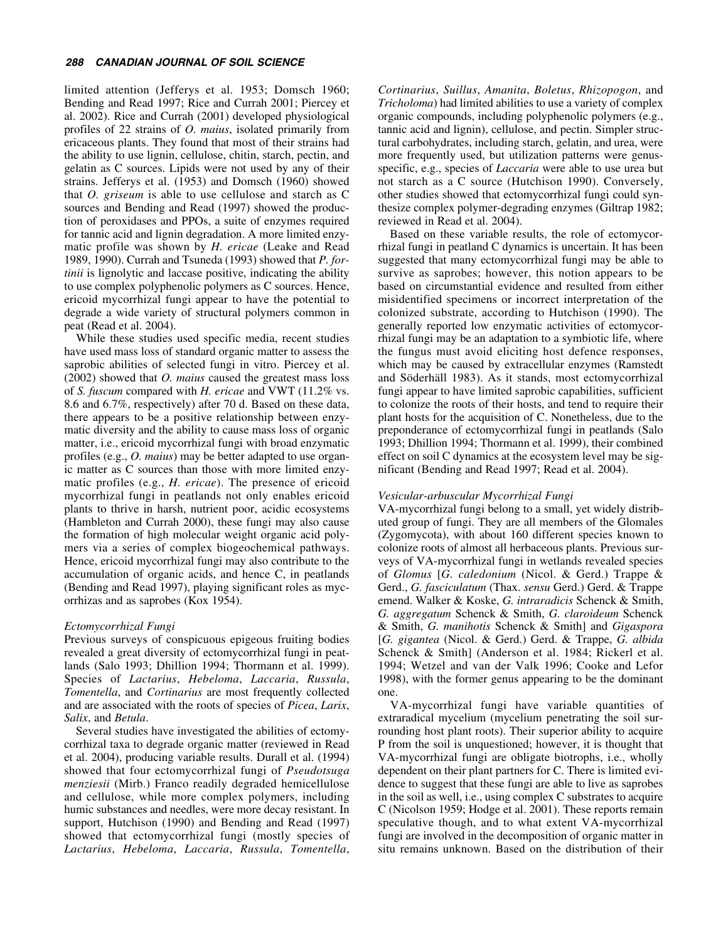limited attention (Jefferys et al. 1953; Domsch 1960; Bending and Read 1997; Rice and Currah 2001; Piercey et al. 2002). Rice and Currah (2001) developed physiological profiles of 22 strains of *O. maius*, isolated primarily from ericaceous plants. They found that most of their strains had the ability to use lignin, cellulose, chitin, starch, pectin, and gelatin as C sources. Lipids were not used by any of their strains. Jefferys et al. (1953) and Domsch (1960) showed that *O. griseum* is able to use cellulose and starch as C sources and Bending and Read (1997) showed the production of peroxidases and PPOs, a suite of enzymes required for tannic acid and lignin degradation. A more limited enzymatic profile was shown by *H. ericae* (Leake and Read 1989, 1990). Currah and Tsuneda (1993) showed that *P. fortinii* is lignolytic and laccase positive, indicating the ability to use complex polyphenolic polymers as C sources. Hence, ericoid mycorrhizal fungi appear to have the potential to degrade a wide variety of structural polymers common in peat (Read et al. 2004).

While these studies used specific media, recent studies have used mass loss of standard organic matter to assess the saprobic abilities of selected fungi in vitro. Piercey et al. (2002) showed that *O. maius* caused the greatest mass loss of *S. fuscum* compared with *H. ericae* and VWT (11.2% vs. 8.6 and 6.7%, respectively) after 70 d. Based on these data, there appears to be a positive relationship between enzymatic diversity and the ability to cause mass loss of organic matter, i.e., ericoid mycorrhizal fungi with broad enzymatic profiles (e.g., *O. maius*) may be better adapted to use organic matter as C sources than those with more limited enzymatic profiles (e.g., *H. ericae*). The presence of ericoid mycorrhizal fungi in peatlands not only enables ericoid plants to thrive in harsh, nutrient poor, acidic ecosystems (Hambleton and Currah 2000), these fungi may also cause the formation of high molecular weight organic acid polymers via a series of complex biogeochemical pathways. Hence, ericoid mycorrhizal fungi may also contribute to the accumulation of organic acids, and hence C, in peatlands (Bending and Read 1997), playing significant roles as mycorrhizas and as saprobes (Kox 1954).

#### *Ectomycorrhizal Fungi*

Previous surveys of conspicuous epigeous fruiting bodies revealed a great diversity of ectomycorrhizal fungi in peatlands (Salo 1993; Dhillion 1994; Thormann et al. 1999). Species of *Lactarius*, *Hebeloma*, *Laccaria*, *Russula*, *Tomentella*, and *Cortinarius* are most frequently collected and are associated with the roots of species of *Picea*, *Larix*, *Salix*, and *Betula*.

Several studies have investigated the abilities of ectomycorrhizal taxa to degrade organic matter (reviewed in Read et al. 2004), producing variable results. Durall et al. (1994) showed that four ectomycorrhizal fungi of *Pseudotsuga menziesii* (Mirb.) Franco readily degraded hemicellulose and cellulose, while more complex polymers, including humic substances and needles, were more decay resistant. In support, Hutchison (1990) and Bending and Read (1997) showed that ectomycorrhizal fungi (mostly species of *Lactarius*, *Hebeloma*, *Laccaria*, *Russula*, *Tomentella*,

*Cortinarius*, *Suillus*, *Amanita*, *Boletus*, *Rhizopogon*, and *Tricholoma*) had limited abilities to use a variety of complex organic compounds, including polyphenolic polymers (e.g., tannic acid and lignin), cellulose, and pectin. Simpler structural carbohydrates, including starch, gelatin, and urea, were more frequently used, but utilization patterns were genusspecific, e.g., species of *Laccaria* were able to use urea but not starch as a C source (Hutchison 1990). Conversely, other studies showed that ectomycorrhizal fungi could synthesize complex polymer-degrading enzymes (Giltrap 1982; reviewed in Read et al. 2004).

Based on these variable results, the role of ectomycorrhizal fungi in peatland C dynamics is uncertain. It has been suggested that many ectomycorrhizal fungi may be able to survive as saprobes; however, this notion appears to be based on circumstantial evidence and resulted from either misidentified specimens or incorrect interpretation of the colonized substrate, according to Hutchison (1990). The generally reported low enzymatic activities of ectomycorrhizal fungi may be an adaptation to a symbiotic life, where the fungus must avoid eliciting host defence responses, which may be caused by extracellular enzymes (Ramstedt and Söderhäll 1983). As it stands, most ectomycorrhizal fungi appear to have limited saprobic capabilities, sufficient to colonize the roots of their hosts, and tend to require their plant hosts for the acquisition of C. Nonetheless, due to the preponderance of ectomycorrhizal fungi in peatlands (Salo 1993; Dhillion 1994; Thormann et al. 1999), their combined effect on soil C dynamics at the ecosystem level may be significant (Bending and Read 1997; Read et al. 2004).

#### *Vesicular-arbuscular Mycorrhizal Fungi*

VA-mycorrhizal fungi belong to a small, yet widely distributed group of fungi. They are all members of the Glomales (Zygomycota), with about 160 different species known to colonize roots of almost all herbaceous plants. Previous surveys of VA-mycorrhizal fungi in wetlands revealed species of *Glomus* [*G. caledonium* (Nicol. & Gerd.) Trappe & Gerd., *G. fasciculatum* (Thax. *sensu* Gerd.) Gerd. & Trappe emend. Walker & Koske, *G. intraradicis* Schenck & Smith, *G. aggregatum* Schenck & Smith, *G. claroideum* Schenck & Smith, *G. manihotis* Schenck & Smith] and *Gigaspora* [*G. gigantea* (Nicol. & Gerd.) Gerd. & Trappe, *G. albida* Schenck & Smith] (Anderson et al. 1984; Rickerl et al. 1994; Wetzel and van der Valk 1996; Cooke and Lefor 1998), with the former genus appearing to be the dominant one.

VA-mycorrhizal fungi have variable quantities of extraradical mycelium (mycelium penetrating the soil surrounding host plant roots). Their superior ability to acquire P from the soil is unquestioned; however, it is thought that VA-mycorrhizal fungi are obligate biotrophs, i.e., wholly dependent on their plant partners for C. There is limited evidence to suggest that these fungi are able to live as saprobes in the soil as well, i.e., using complex C substrates to acquire C (Nicolson 1959; Hodge et al. 2001). These reports remain speculative though, and to what extent VA-mycorrhizal fungi are involved in the decomposition of organic matter in situ remains unknown. Based on the distribution of their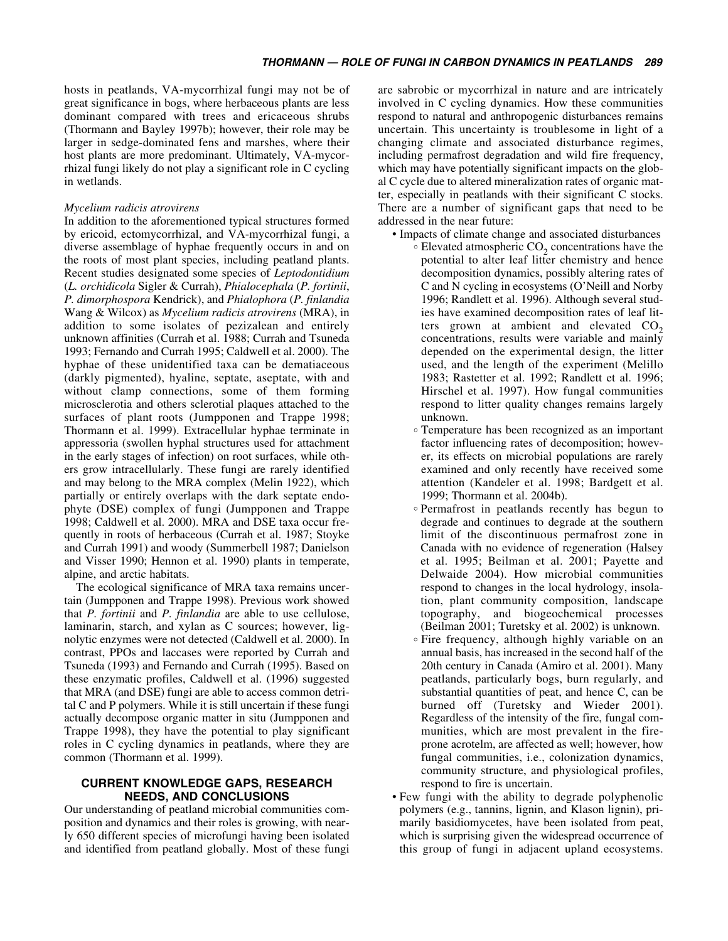hosts in peatlands, VA-mycorrhizal fungi may not be of great significance in bogs, where herbaceous plants are less dominant compared with trees and ericaceous shrubs (Thormann and Bayley 1997b); however, their role may be larger in sedge-dominated fens and marshes, where their host plants are more predominant. Ultimately, VA-mycorrhizal fungi likely do not play a significant role in C cycling in wetlands.

#### *Mycelium radicis atrovirens*

In addition to the aforementioned typical structures formed by ericoid, ectomycorrhizal, and VA-mycorrhizal fungi, a diverse assemblage of hyphae frequently occurs in and on the roots of most plant species, including peatland plants. Recent studies designated some species of *Leptodontidium* (*L. orchidicola* Sigler & Currah), *Phialocephala* (*P. fortinii*, *P. dimorphospora* Kendrick), and *Phialophora* (*P. finlandia* Wang & Wilcox) as *Mycelium radicis atrovirens* (MRA), in addition to some isolates of pezizalean and entirely unknown affinities (Currah et al. 1988; Currah and Tsuneda 1993; Fernando and Currah 1995; Caldwell et al. 2000). The hyphae of these unidentified taxa can be dematiaceous (darkly pigmented), hyaline, septate, aseptate, with and without clamp connections, some of them forming microsclerotia and others sclerotial plaques attached to the surfaces of plant roots (Jumpponen and Trappe 1998; Thormann et al. 1999). Extracellular hyphae terminate in appressoria (swollen hyphal structures used for attachment in the early stages of infection) on root surfaces, while others grow intracellularly. These fungi are rarely identified and may belong to the MRA complex (Melin 1922), which partially or entirely overlaps with the dark septate endophyte (DSE) complex of fungi (Jumpponen and Trappe 1998; Caldwell et al. 2000). MRA and DSE taxa occur frequently in roots of herbaceous (Currah et al. 1987; Stoyke and Currah 1991) and woody (Summerbell 1987; Danielson and Visser 1990; Hennon et al. 1990) plants in temperate, alpine, and arctic habitats.

The ecological significance of MRA taxa remains uncertain (Jumpponen and Trappe 1998). Previous work showed that *P. fortinii* and *P. finlandia* are able to use cellulose, laminarin, starch, and xylan as C sources; however, lignolytic enzymes were not detected (Caldwell et al. 2000). In contrast, PPOs and laccases were reported by Currah and Tsuneda (1993) and Fernando and Currah (1995). Based on these enzymatic profiles, Caldwell et al. (1996) suggested that MRA (and DSE) fungi are able to access common detrital C and P polymers. While it is still uncertain if these fungi actually decompose organic matter in situ (Jumpponen and Trappe 1998), they have the potential to play significant roles in C cycling dynamics in peatlands, where they are common (Thormann et al. 1999).

#### **CURRENT KNOWLEDGE GAPS, RESEARCH NEEDS, AND CONCLUSIONS**

Our understanding of peatland microbial communities composition and dynamics and their roles is growing, with nearly 650 different species of microfungi having been isolated and identified from peatland globally. Most of these fungi

are sabrobic or mycorrhizal in nature and are intricately involved in C cycling dynamics. How these communities respond to natural and anthropogenic disturbances remains uncertain. This uncertainty is troublesome in light of a changing climate and associated disturbance regimes, including permafrost degradation and wild fire frequency, which may have potentially significant impacts on the global C cycle due to altered mineralization rates of organic matter, especially in peatlands with their significant C stocks. There are a number of significant gaps that need to be addressed in the near future:

- Impacts of climate change and associated disturbances  $\circ$  Elevated atmospheric CO<sub>2</sub> concentrations have the potential to alter leaf litter chemistry and hence decomposition dynamics, possibly altering rates of C and N cycling in ecosystems (O'Neill and Norby 1996; Randlett et al. 1996). Although several studies have examined decomposition rates of leaf litters grown at ambient and elevated  $CO<sub>2</sub>$ concentrations, results were variable and mainly depended on the experimental design, the litter used, and the length of the experiment (Melillo 1983; Rastetter et al. 1992; Randlett et al. 1996; Hirschel et al. 1997). How fungal communities respond to litter quality changes remains largely unknown.
	- Temperature has been recognized as an important factor influencing rates of decomposition; however, its effects on microbial populations are rarely examined and only recently have received some attention (Kandeler et al. 1998; Bardgett et al. 1999; Thormann et al. 2004b).
	- Permafrost in peatlands recently has begun to degrade and continues to degrade at the southern limit of the discontinuous permafrost zone in Canada with no evidence of regeneration (Halsey et al. 1995; Beilman et al. 2001; Payette and Delwaide 2004). How microbial communities respond to changes in the local hydrology, insolation, plant community composition, landscape topography, and biogeochemical processes (Beilman 2001; Turetsky et al. 2002) is unknown.
	- Fire frequency, although highly variable on an annual basis, has increased in the second half of the 20th century in Canada (Amiro et al. 2001). Many peatlands, particularly bogs, burn regularly, and substantial quantities of peat, and hence C, can be burned off (Turetsky and Wieder 2001). Regardless of the intensity of the fire, fungal communities, which are most prevalent in the fireprone acrotelm, are affected as well; however, how fungal communities, i.e., colonization dynamics, community structure, and physiological profiles, respond to fire is uncertain.
- Few fungi with the ability to degrade polyphenolic polymers (e.g., tannins, lignin, and Klason lignin), primarily basidiomycetes, have been isolated from peat, which is surprising given the widespread occurrence of this group of fungi in adjacent upland ecosystems.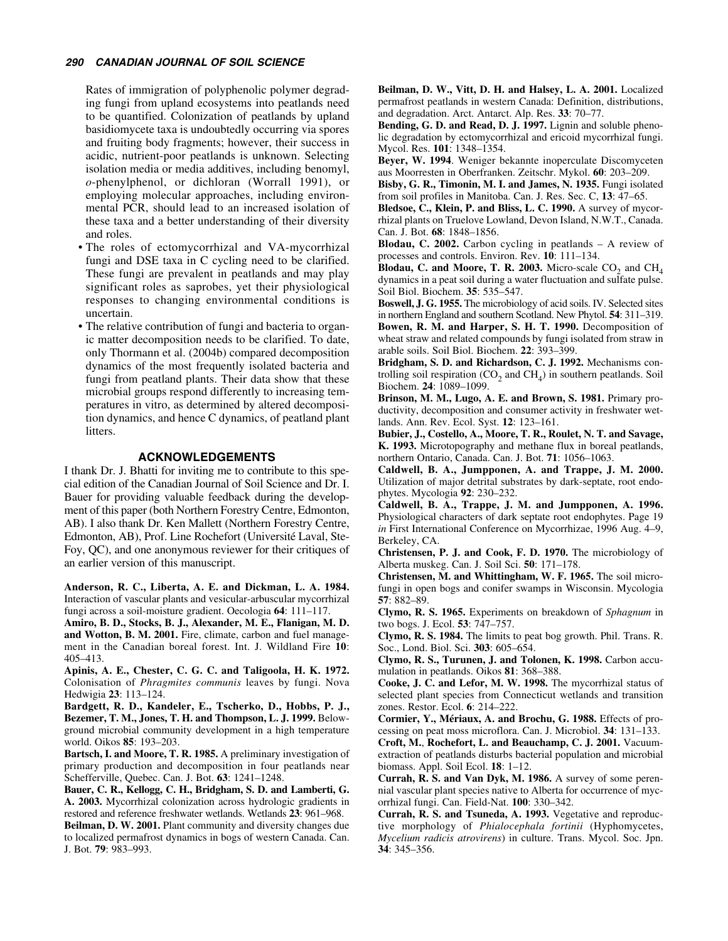Rates of immigration of polyphenolic polymer degrading fungi from upland ecosystems into peatlands need to be quantified. Colonization of peatlands by upland basidiomycete taxa is undoubtedly occurring via spores and fruiting body fragments; however, their success in acidic, nutrient-poor peatlands is unknown. Selecting isolation media or media additives, including benomyl, *o*-phenylphenol, or dichloran (Worrall 1991), or employing molecular approaches, including environmental PCR, should lead to an increased isolation of these taxa and a better understanding of their diversity and roles.

- The roles of ectomycorrhizal and VA-mycorrhizal fungi and DSE taxa in C cycling need to be clarified. These fungi are prevalent in peatlands and may play significant roles as saprobes, yet their physiological responses to changing environmental conditions is uncertain.
- The relative contribution of fungi and bacteria to organic matter decomposition needs to be clarified. To date, only Thormann et al. (2004b) compared decomposition dynamics of the most frequently isolated bacteria and fungi from peatland plants. Their data show that these microbial groups respond differently to increasing temperatures in vitro, as determined by altered decomposition dynamics, and hence C dynamics, of peatland plant litters.

#### **ACKNOWLEDGEMENTS**

I thank Dr. J. Bhatti for inviting me to contribute to this special edition of the Canadian Journal of Soil Science and Dr. I. Bauer for providing valuable feedback during the development of this paper (both Northern Forestry Centre, Edmonton, AB). I also thank Dr. Ken Mallett (Northern Forestry Centre, Edmonton, AB), Prof. Line Rochefort (Université Laval, Ste-Foy, QC), and one anonymous reviewer for their critiques of an earlier version of this manuscript.

**Anderson, R. C., Liberta, A. E. and Dickman, L. A. 1984.** Interaction of vascular plants and vesicular-arbuscular mycorrhizal fungi across a soil-moisture gradient. Oecologia **64**: 111–117.

**Amiro, B. D., Stocks, B. J., Alexander, M. E., Flanigan, M. D. and Wotton, B. M. 2001.** Fire, climate, carbon and fuel management in the Canadian boreal forest. Int. J. Wildland Fire **10**: 405–413.

**Apinis, A. E., Chester, C. G. C. and Taligoola, H. K. 1972.** Colonisation of *Phragmites communis* leaves by fungi. Nova Hedwigia **23**: 113–124.

**Bardgett, R. D., Kandeler, E., Tscherko, D., Hobbs, P. J., Bezemer, T. M., Jones, T. H. and Thompson, L. J. 1999.** Belowground microbial community development in a high temperature world. Oikos **85**: 193–203.

**Bartsch, I. and Moore, T. R. 1985.** A preliminary investigation of primary production and decomposition in four peatlands near Schefferville, Quebec. Can. J. Bot. **63**: 1241–1248.

**Bauer, C. R., Kellogg, C. H., Bridgham, S. D. and Lamberti, G. A. 2003.** Mycorrhizal colonization across hydrologic gradients in restored and reference freshwater wetlands. Wetlands **23**: 961–968.

**Beilman, D. W. 2001.** Plant community and diversity changes due to localized permafrost dynamics in bogs of western Canada. Can. J. Bot. **79**: 983–993.

**Beilman, D. W., Vitt, D. H. and Halsey, L. A. 2001.** Localized permafrost peatlands in western Canada: Definition, distributions, and degradation. Arct. Antarct. Alp. Res. **33**: 70–77.

**Bending, G. D. and Read, D. J. 1997.** Lignin and soluble phenolic degradation by ectomycorrhizal and ericoid mycorrhizal fungi. Mycol. Res. **101**: 1348–1354.

**Beyer, W. 1994**. Weniger bekannte inoperculate Discomyceten aus Moorresten in Oberfranken. Zeitschr. Mykol. **60**: 203–209.

**Bisby, G. R., Timonin, M. I. and James, N. 1935.** Fungi isolated from soil profiles in Manitoba. Can. J. Res. Sec. C, **13**: 47–65.

**Bledsoe, C., Klein, P. and Bliss, L. C. 1990.** A survey of mycorrhizal plants on Truelove Lowland, Devon Island, N.W.T., Canada. Can. J. Bot. **68**: 1848–1856.

**Blodau, C. 2002.** Carbon cycling in peatlands – A review of processes and controls. Environ. Rev. **10**: 111–134.

**Blodau, C. and Moore, T. R. 2003.** Micro-scale  $CO<sub>2</sub>$  and  $CH<sub>4</sub>$ dynamics in a peat soil during a water fluctuation and sulfate pulse. Soil Biol. Biochem. **35**: 535–547.

**Boswell, J. G. 1955.** The microbiology of acid soils. IV. Selected sites in northern England and southern Scotland. New Phytol. **54**: 311–319. **Bowen, R. M. and Harper, S. H. T. 1990.** Decomposition of wheat straw and related compounds by fungi isolated from straw in arable soils. Soil Biol. Biochem. **22**: 393–399.

**Bridgham, S. D. and Richardson, C. J. 1992.** Mechanisms controlling soil respiration  $(CO_2$  and  $CH<sub>4</sub>)$  in southern peatlands. Soil Biochem. **24**: 1089–1099.

**Brinson, M. M., Lugo, A. E. and Brown, S. 1981.** Primary productivity, decomposition and consumer activity in freshwater wetlands. Ann. Rev. Ecol. Syst. **12**: 123–161.

**Bubier, J., Costello, A., Moore, T. R., Roulet, N. T. and Savage, K. 1993.** Microtopography and methane flux in boreal peatlands, northern Ontario, Canada. Can. J. Bot. **71**: 1056–1063.

**Caldwell, B. A., Jumpponen, A. and Trappe, J. M. 2000.** Utilization of major detrital substrates by dark-septate, root endophytes. Mycologia **92**: 230–232.

**Caldwell, B. A., Trappe, J. M. and Jumpponen, A. 1996.** Physiological characters of dark septate root endophytes. Page 19 *in* First International Conference on Mycorrhizae, 1996 Aug. 4–9, Berkeley, CA.

**Christensen, P. J. and Cook, F. D. 1970.** The microbiology of Alberta muskeg. Can. J. Soil Sci. **50**: 171–178.

**Christensen, M. and Whittingham, W. F. 1965.** The soil microfungi in open bogs and conifer swamps in Wisconsin. Mycologia **57**: 882–89.

**Clymo, R. S. 1965.** Experiments on breakdown of *Sphagnum* in two bogs. J. Ecol. **53**: 747–757.

**Clymo, R. S. 1984.** The limits to peat bog growth. Phil. Trans. R. Soc., Lond. Biol. Sci. **303**: 605–654.

**Clymo, R. S., Turunen, J. and Tolonen, K. 1998.** Carbon accumulation in peatlands. Oikos **81**: 368–388.

**Cooke, J. C. and Lefor, M. W. 1998.** The mycorrhizal status of selected plant species from Connecticut wetlands and transition zones. Restor. Ecol. **6**: 214–222.

**Cormier, Y., Mériaux, A. and Brochu, G. 1988.** Effects of processing on peat moss microflora. Can. J. Microbiol. **34**: 131–133.

**Croft, M.**, **Rochefort, L. and Beauchamp, C. J. 2001.** Vacuumextraction of peatlands disturbs bacterial population and microbial biomass. Appl. Soil Ecol. **18**: 1–12.

**Currah, R. S. and Van Dyk, M. 1986.** A survey of some perennial vascular plant species native to Alberta for occurrence of mycorrhizal fungi. Can. Field-Nat. **100**: 330–342.

**Currah, R. S. and Tsuneda, A. 1993.** Vegetative and reproductive morphology of *Phialocephala fortinii* (Hyphomycetes, *Mycelium radicis atrovirens*) in culture. Trans. Mycol. Soc. Jpn. **34**: 345–356.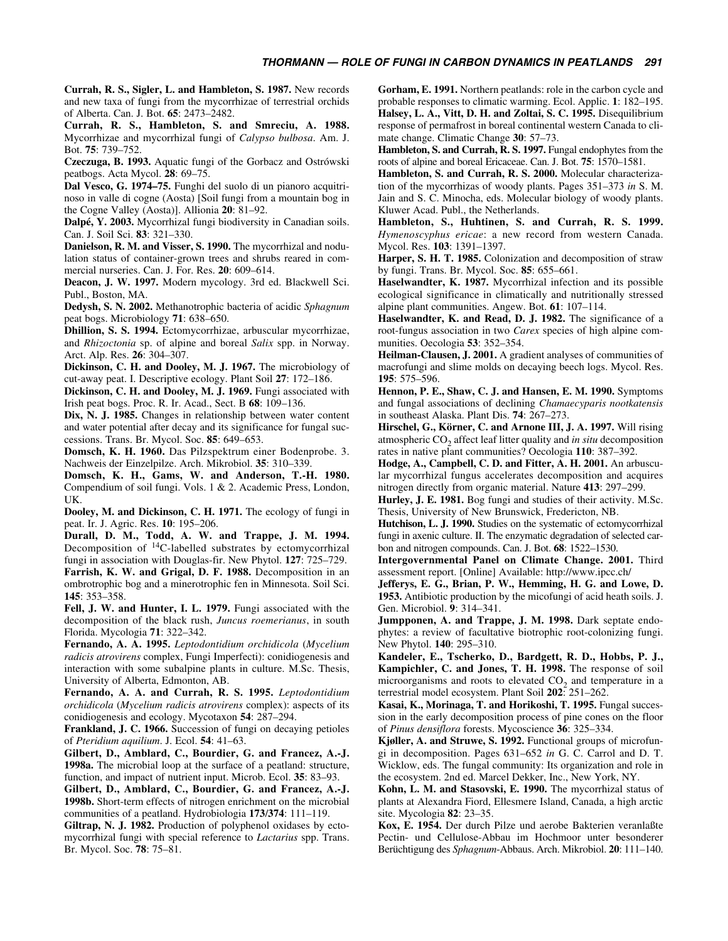**Currah, R. S., Sigler, L. and Hambleton, S. 1987.** New records and new taxa of fungi from the mycorrhizae of terrestrial orchids of Alberta. Can. J. Bot. **65**: 2473–2482.

**Currah, R. S., Hambleton, S. and Smreciu, A. 1988.** Mycorrhizae and mycorrhizal fungi of *Calypso bulbosa*. Am. J. Bot. **75**: 739–752.

**Czeczuga, B. 1993.** Aquatic fungi of the Gorbacz and Ostrówski peatbogs. Acta Mycol. **28**: 69–75.

**Dal Vesco, G. 1974–75.** Funghi del suolo di un pianoro acquitrinoso in valle di cogne (Aosta) [Soil fungi from a mountain bog in the Cogne Valley (Aosta)]. Allionia **20**: 81–92.

**Dalpé, Y. 2003.** Mycorrhizal fungi biodiversity in Canadian soils. Can. J. Soil Sci. **83**: 321–330.

**Danielson, R. M. and Visser, S. 1990.** The mycorrhizal and nodulation status of container-grown trees and shrubs reared in commercial nurseries. Can. J. For. Res. **20**: 609–614.

**Deacon, J. W. 1997.** Modern mycology. 3rd ed. Blackwell Sci. Publ., Boston, MA.

**Dedysh, S. N. 2002.** Methanotrophic bacteria of acidic *Sphagnum* peat bogs. Microbiology **71**: 638–650.

**Dhillion, S. S. 1994.** Ectomycorrhizae, arbuscular mycorrhizae, and *Rhizoctonia* sp. of alpine and boreal *Salix* spp. in Norway. Arct. Alp. Res. **26**: 304–307.

**Dickinson, C. H. and Dooley, M. J. 1967.** The microbiology of cut-away peat. I. Descriptive ecology. Plant Soil **27**: 172–186.

**Dickinson, C. H. and Dooley, M. J. 1969.** Fungi associated with Irish peat bogs. Proc. R. Ir. Acad., Sect. B **68**: 109–136.

**Dix, N. J. 1985.** Changes in relationship between water content and water potential after decay and its significance for fungal successions. Trans. Br. Mycol. Soc. **85**: 649–653.

**Domsch, K. H. 1960.** Das Pilzspektrum einer Bodenprobe. 3. Nachweis der Einzelpilze. Arch. Mikrobiol. **35**: 310–339.

**Domsch, K. H., Gams, W. and Anderson, T.-H. 1980.** Compendium of soil fungi. Vols. 1 & 2. Academic Press, London, UK.

**Dooley, M. and Dickinson, C. H. 1971.** The ecology of fungi in peat. Ir. J. Agric. Res. **10**: 195–206.

**Durall, D. M., Todd, A. W. and Trappe, J. M. 1994.** Decomposition of 14C-labelled substrates by ectomycorrhizal fungi in association with Douglas-fir. New Phytol. **127**: 725–729.

**Farrish, K. W. and Grigal, D. F. 1988.** Decomposition in an ombrotrophic bog and a minerotrophic fen in Minnesota. Soil Sci. **145**: 353–358.

**Fell, J. W. and Hunter, I. L. 1979.** Fungi associated with the decomposition of the black rush, *Juncus roemerianus*, in south Florida. Mycologia **71**: 322–342.

**Fernando, A. A. 1995.** *Leptodontidium orchidicola* (*Mycelium radicis atrovirens* complex, Fungi Imperfecti): conidiogenesis and interaction with some subalpine plants in culture. M.Sc. Thesis, University of Alberta, Edmonton, AB.

**Fernando, A. A. and Currah, R. S. 1995.** *Leptodontidium orchidicola* (*Mycelium radicis atrovirens* complex): aspects of its conidiogenesis and ecology. Mycotaxon **54**: 287–294.

**Frankland, J. C. 1966.** Succession of fungi on decaying petioles of *Pteridium aquilium*. J. Ecol. **54**: 41–63.

**Gilbert, D., Amblard, C., Bourdier, G. and Francez, A.-J. 1998a.** The microbial loop at the surface of a peatland: structure, function, and impact of nutrient input. Microb. Ecol. **35**: 83–93.

**Gilbert, D., Amblard, C., Bourdier, G. and Francez, A.-J. 1998b.** Short-term effects of nitrogen enrichment on the microbial communities of a peatland. Hydrobiologia **173**/**374**: 111–119.

**Giltrap, N. J. 1982.** Production of polyphenol oxidases by ectomycorrhizal fungi with special reference to *Lactarius* spp. Trans. Br. Mycol. Soc. **78**: 75–81.

**Gorham, E. 1991.** Northern peatlands: role in the carbon cycle and probable responses to climatic warming. Ecol. Applic. **1**: 182–195. **Halsey, L. A., Vitt, D. H. and Zoltai, S. C. 1995.** Disequilibrium response of permafrost in boreal continental western Canada to climate change. Climatic Change **30**: 57–73.

**Hambleton, S. and Currah, R. S. 1997.** Fungal endophytes from the roots of alpine and boreal Ericaceae. Can. J. Bot. **75**: 1570–1581.

**Hambleton, S. and Currah, R. S. 2000.** Molecular characterization of the mycorrhizas of woody plants. Pages 351–373 *in* S. M. Jain and S. C. Minocha, eds. Molecular biology of woody plants. Kluwer Acad. Publ., the Netherlands.

**Hambleton, S., Huhtinen, S. and Currah, R. S. 1999.** *Hymenoscyphus ericae*: a new record from western Canada. Mycol. Res. **103**: 1391–1397.

**Harper, S. H. T. 1985.** Colonization and decomposition of straw by fungi. Trans. Br. Mycol. Soc. **85**: 655–661.

**Haselwandter, K. 1987.** Mycorrhizal infection and its possible ecological significance in climatically and nutritionally stressed alpine plant communities. Angew. Bot. **61**: 107–114.

**Haselwandter, K. and Read, D. J. 1982.** The significance of a root-fungus association in two *Carex* species of high alpine communities. Oecologia **53**: 352–354.

**Heilman-Clausen, J. 2001.** A gradient analyses of communities of macrofungi and slime molds on decaying beech logs. Mycol. Res. **195**: 575–596.

**Hennon, P. E., Shaw, C. J. and Hansen, E. M. 1990.** Symptoms and fungal associations of declining *Chamaecyparis nootkatensis* in southeast Alaska. Plant Dis. **74**: 267–273.

**Hirschel, G., Körner, C. and Arnone III, J. A. 1997.** Will rising atmospheric CO<sub>2</sub> affect leaf litter quality and *in situ* decomposition rates in native plant communities? Oecologia **110**: 387–392.

**Hodge, A., Campbell, C. D. and Fitter, A. H. 2001.** An arbuscular mycorrhizal fungus accelerates decomposition and acquires nitrogen directly from organic material. Nature **413**: 297–299.

**Hurley, J. E. 1981.** Bog fungi and studies of their activity. M.Sc. Thesis, University of New Brunswick, Fredericton, NB.

**Hutchison, L. J. 1990.** Studies on the systematic of ectomycorrhizal fungi in axenic culture. II. The enzymatic degradation of selected carbon and nitrogen compounds. Can. J. Bot. **68**: 1522–1530.

**Intergovernmental Panel on Climate Change. 2001.** Third assessment report. [Online] Available: http://www.ipcc.ch/

**Jefferys, E. G., Brian, P. W., Hemming, H. G. and Lowe, D. 1953.** Antibiotic production by the micofungi of acid heath soils. J. Gen. Microbiol. **9**: 314–341.

**Jumpponen, A. and Trappe, J. M. 1998.** Dark septate endophytes: a review of facultative biotrophic root-colonizing fungi. New Phytol. **140**: 295–310.

**Kandeler, E., Tscherko, D., Bardgett, R. D., Hobbs, P. J., Kampichler, C. and Jones, T. H. 1998.** The response of soil microorganisms and roots to elevated  $CO<sub>2</sub>$  and temperature in a terrestrial model ecosystem. Plant Soil **202**: 251–262.

**Kasai, K., Morinaga, T. and Horikoshi, T. 1995.** Fungal succession in the early decomposition process of pine cones on the floor of *Pinus densiflora* forests. Mycoscience **36**: 325–334.

**Kjøller, A. and Struwe, S. 1992.** Functional groups of microfungi in decomposition. Pages 631–652 *in* G. C. Carrol and D. T. Wicklow, eds. The fungal community: Its organization and role in the ecosystem. 2nd ed. Marcel Dekker, Inc., New York, NY.

**Kohn, L. M. and Stasovski, E. 1990.** The mycorrhizal status of plants at Alexandra Fiord, Ellesmere Island, Canada, a high arctic site. Mycologia **82**: 23–35.

**Kox, E. 1954.** Der durch Pilze und aerobe Bakterien veranlaßte Pectin- und Cellulose-Abbau im Hochmoor unter besonderer Berüchtigung des *Sphagnum*-Abbaus. Arch. Mikrobiol. **20**: 111–140.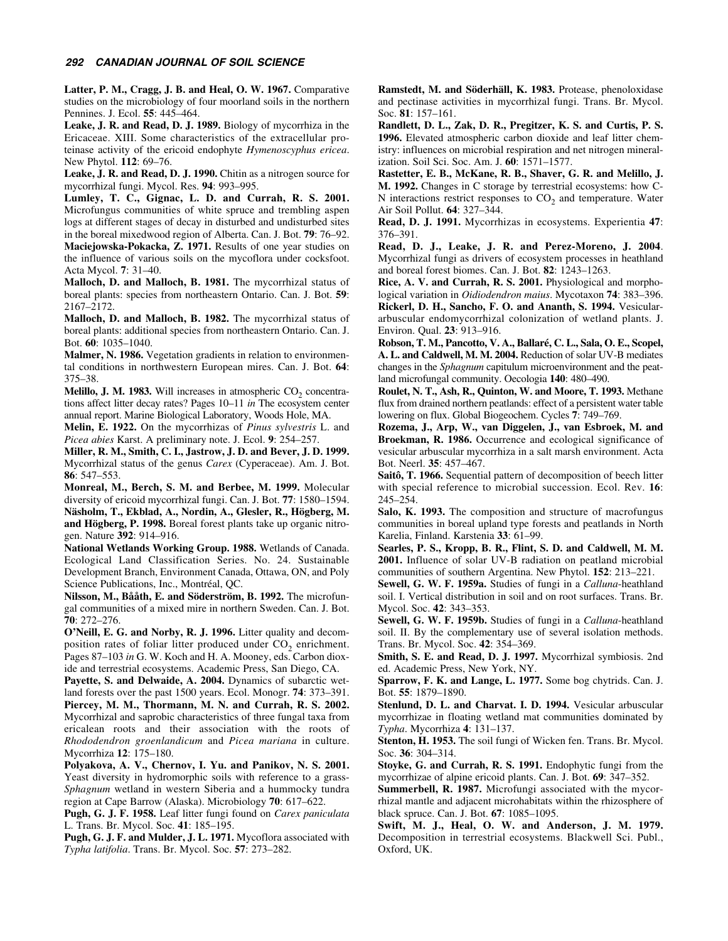**Latter, P. M., Cragg, J. B. and Heal, O. W. 1967.** Comparative studies on the microbiology of four moorland soils in the northern Pennines. J. Ecol. **55**: 445–464.

**Leake, J. R. and Read, D. J. 1989.** Biology of mycorrhiza in the Ericaceae. XIII. Some characteristics of the extracellular proteinase activity of the ericoid endophyte *Hymenoscyphus ericea*. New Phytol. **112**: 69–76.

**Leake, J. R. and Read, D. J. 1990.** Chitin as a nitrogen source for mycorrhizal fungi. Mycol. Res. **94**: 993–995.

**Lumley, T. C., Gignac, L. D. and Currah, R. S. 2001.** Microfungus communities of white spruce and trembling aspen logs at different stages of decay in disturbed and undisturbed sites in the boreal mixedwood region of Alberta. Can. J. Bot. **79**: 76–92. **Maciejowska-Pokacka, Z. 1971.** Results of one year studies on the influence of various soils on the mycoflora under cocksfoot. Acta Mycol. **7**: 31–40.

**Malloch, D. and Malloch, B. 1981.** The mycorrhizal status of boreal plants: species from northeastern Ontario. Can. J. Bot. **59**: 2167–2172.

**Malloch, D. and Malloch, B. 1982.** The mycorrhizal status of boreal plants: additional species from northeastern Ontario. Can. J. Bot. **60**: 1035–1040.

**Malmer, N. 1986.** Vegetation gradients in relation to environmental conditions in northwestern European mires. Can. J. Bot. **64**: 375–38.

**Melillo, J. M. 1983.** Will increases in atmospheric  $CO<sub>2</sub>$  concentrations affect litter decay rates? Pages 10–11 *in* The ecosystem center annual report. Marine Biological Laboratory, Woods Hole, MA.

**Melin, E. 1922.** On the mycorrhizas of *Pinus sylvestris* L. and *Picea abies* Karst. A preliminary note. J. Ecol. **9**: 254–257.

**Miller, R. M., Smith, C. I., Jastrow, J. D. and Bever, J. D. 1999.** Mycorrhizal status of the genus *Carex* (Cyperaceae). Am. J. Bot. **86**: 547–553.

**Monreal, M., Berch, S. M. and Berbee, M. 1999.** Molecular diversity of ericoid mycorrhizal fungi. Can. J. Bot. **77**: 1580–1594. **Näsholm, T., Ekblad, A., Nordin, A., Glesler, R., Högberg, M. and Högberg, P. 1998.** Boreal forest plants take up organic nitrogen. Nature **392**: 914–916.

**National Wetlands Working Group. 1988.** Wetlands of Canada. Ecological Land Classification Series. No. 24. Sustainable Development Branch, Environment Canada, Ottawa, ON, and Poly Science Publications, Inc., Montréal, QC.

**Nilsson, M., Bååth, E. and Söderström, B. 1992.** The microfungal communities of a mixed mire in northern Sweden. Can. J. Bot. **70**: 272–276.

**O'Neill, E. G. and Norby, R. J. 1996.** Litter quality and decomposition rates of foliar litter produced under  $CO<sub>2</sub>$  enrichment. Pages 87–103 *in* G. W. Koch and H. A. Mooney, eds. Carbon dioxide and terrestrial ecosystems. Academic Press, San Diego, CA.

**Payette, S. and Delwaide, A. 2004.** Dynamics of subarctic wetland forests over the past 1500 years. Ecol. Monogr. **74**: 373–391. **Piercey, M. M., Thormann, M. N. and Currah, R. S. 2002.** Mycorrhizal and saprobic characteristics of three fungal taxa from ericalean roots and their association with the roots of *Rhododendron groenlandicum* and *Picea mariana* in culture. Mycorrhiza **12**: 175–180.

**Polyakova, A. V., Chernov, I. Yu. and Panikov, N. S. 2001.** Yeast diversity in hydromorphic soils with reference to a grass-*Sphagnum* wetland in western Siberia and a hummocky tundra region at Cape Barrow (Alaska). Microbiology **70**: 617–622.

**Pugh, G. J. F. 1958.** Leaf litter fungi found on *Carex paniculata* L. Trans. Br. Mycol. Soc. **41**: 185–195.

**Pugh, G. J. F. and Mulder, J. L. 1971.** Mycoflora associated with *Typha latifolia*. Trans. Br. Mycol. Soc. **57**: 273–282.

**Ramstedt, M. and Söderhäll, K. 1983.** Protease, phenoloxidase and pectinase activities in mycorrhizal fungi. Trans. Br. Mycol. Soc. **81**: 157–161.

**Randlett, D. L., Zak, D. R., Pregitzer, K. S. and Curtis, P. S. 1996.** Elevated atmospheric carbon dioxide and leaf litter chemistry: influences on microbial respiration and net nitrogen mineralization. Soil Sci. Soc. Am. J. **60**: 1571–1577.

**Rastetter, E. B., McKane, R. B., Shaver, G. R. and Melillo, J. M. 1992.** Changes in C storage by terrestrial ecosystems: how C-N interactions restrict responses to  $CO<sub>2</sub>$  and temperature. Water Air Soil Pollut. **64**: 327–344.

**Read, D. J. 1991.** Mycorrhizas in ecosystems. Experientia **47**: 376–391.

**Read, D. J., Leake, J. R. and Perez-Moreno, J. 2004**. Mycorrhizal fungi as drivers of ecosystem processes in heathland and boreal forest biomes. Can. J. Bot. **82**: 1243–1263.

**Rice, A. V. and Currah, R. S. 2001.** Physiological and morphological variation in *Oidiodendron maius*. Mycotaxon **74**: 383–396. **Rickerl, D. H., Sancho, F. O. and Ananth, S. 1994.** Vesiculararbuscular endomycorrhizal colonization of wetland plants. J. Environ. Qual. **23**: 913–916.

**Robson, T. M., Pancotto, V. A., Ballaré, C. L., Sala, O. E., Scopel, A. L. and Caldwell, M. M. 2004.** Reduction of solar UV-B mediates changes in the *Sphagnum* capitulum microenvironment and the peatland microfungal community. Oecologia **140**: 480–490.

**Roulet, N. T., Ash, R., Quinton, W. and Moore, T. 1993.** Methane flux from drained northern peatlands: effect of a persistent water table lowering on flux. Global Biogeochem. Cycles **7**: 749–769.

**Rozema, J., Arp, W., van Diggelen, J., van Esbroek, M. and Broekman, R. 1986.** Occurrence and ecological significance of vesicular arbuscular mycorrhiza in a salt marsh environment. Acta Bot. Neerl. **35**: 457–467.

**Saitô, T. 1966.** Sequential pattern of decomposition of beech litter with special reference to microbial succession. Ecol. Rev. **16**: 245–254.

**Salo, K. 1993.** The composition and structure of macrofungus communities in boreal upland type forests and peatlands in North Karelia, Finland. Karstenia **33**: 61–99.

**Searles, P. S., Kropp, B. R., Flint, S. D. and Caldwell, M. M. 2001.** Influence of solar UV-B radiation on peatland microbial communities of southern Argentina. New Phytol. **152**: 213–221.

**Sewell, G. W. F. 1959a.** Studies of fungi in a *Calluna*-heathland soil. I. Vertical distribution in soil and on root surfaces. Trans. Br. Mycol. Soc. **42**: 343–353.

**Sewell, G. W. F. 1959b.** Studies of fungi in a *Calluna*-heathland soil. II. By the complementary use of several isolation methods. Trans. Br. Mycol. Soc. **42**: 354–369.

**Smith, S. E. and Read, D. J. 1997.** Mycorrhizal symbiosis. 2nd ed. Academic Press, New York, NY.

**Sparrow, F. K. and Lange, L. 1977.** Some bog chytrids. Can. J. Bot. **55**: 1879–1890.

**Stenlund, D. L. and Charvat. I. D. 1994.** Vesicular arbuscular mycorrhizae in floating wetland mat communities dominated by *Typha*. Mycorrhiza **4**: 131–137.

**Stenton, H. 1953.** The soil fungi of Wicken fen. Trans. Br. Mycol. Soc. **36**: 304–314.

**Stoyke, G. and Currah, R. S. 1991.** Endophytic fungi from the mycorrhizae of alpine ericoid plants. Can. J. Bot. **69**: 347–352.

**Summerbell, R. 1987.** Microfungi associated with the mycorrhizal mantle and adjacent microhabitats within the rhizosphere of black spruce. Can. J. Bot. **67**: 1085–1095.

**Swift, M. J., Heal, O. W. and Anderson, J. M. 1979.** Decomposition in terrestrial ecosystems. Blackwell Sci. Publ., Oxford, UK.